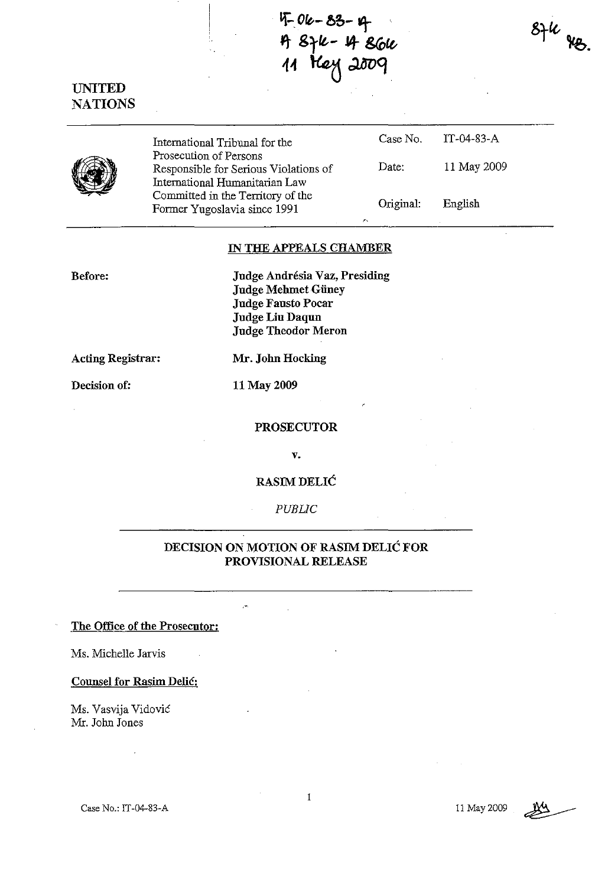*Lf-..Ofe.-* **60- -r** <sup>~</sup>**Srft.-\*** *8(D£t,*  11 *Hey* 2009

UNITED NATIONS



International Tribunal for the Prosecution of Persous Responsible for Serious Violations of International Humanitarian Law Committed in the Territory of the Former Yugoslavia since 1991 Case No. Date: Original: IT-04-83-A 11 May 2009 English

#### IN THE APPEALS CHAMBER

Before:

Judge Andrésia Vaz, Presiding Judge Mehmet Güney Judge Fausto Pocar Judge Liu Daqun Judge Theodor Meron

Acting Registrar:

Decision of:

Mr. John Hocking

11 May 2009

#### PROSECUTOR

v.

RASIMDELIC

*PUBliC* 

### DECISION ON MOTION OF RASIM DELIC FOR PROVISIONAL RELEASE

#### The Office of the Prosecutor:

Ms. Michelle Jarvis

Counsel for Rasim Delic:

Ms. Vasvija Vidovic Mr. John Jones

Case No.: IT-04-83-A

1



 $8Hu$  as.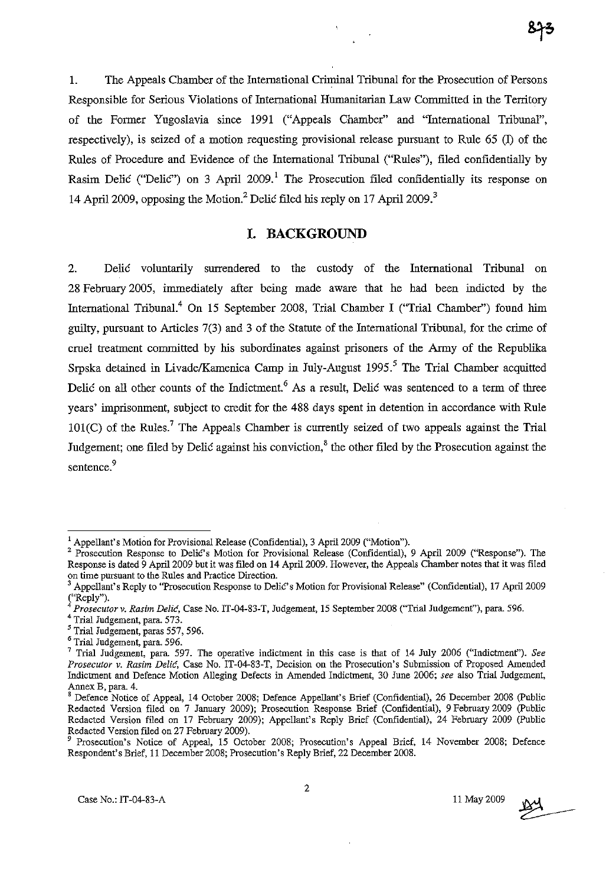1. The Appeals Chamber of the International Criminal Tribunal for the Prosecution of Persons Responsible for Serious Violations of International Humanitarian Law Committed in the Territory of the Fonner Yugoslavia since 1991 ("Appeals Chamber" and "International Tribunal", respectively), is seized of a motion requesting provisional release pursuant to Rule  $(5 \text{ } \Omega)$  of the Rules of Procedure and Evidence of the International Tribunal ("Rules"), filed confidentially by Rasim Delić ("Delić") on 3 April 2009.<sup>1</sup> The Prosecution filed confidentially its response on 14 April 2009, opposing the Motion.<sup>2</sup> Delic filed his reply on 17 April 2009.<sup>3</sup>

## **I. BACKGROUND**

2. Delic voluntarily surrendered to the custody of the International Tribunal on 28 February 2005, immediately after being made aware that he had been indicted by the International Tribunal.<sup>4</sup> On 15 September 2008, Trial Chamber I ("Trial Chamber") found him gnilty, pursuant to Articles 7(3) and 3 of the Statute of the International Tribunal, for the crime of cruel treatment committed by his subordinates against prisoners of the Anny of the Republika Srpska detained in Livade/Kamenica Camp in July-August  $1995$ .<sup>5</sup> The Trial Chamber acquitted Delic on all other counts of the Indictment.<sup>6</sup> As a result, Delic was sentenced to a term of three years' imprisonment, subject to credit for the 488 days spent in detention in accordance with Rule  $101(C)$  of the Rules.<sup>7</sup> The Appeals Chamber is currently seized of two appeals against the Trial Judgement; one filed by Delić against his conviction, $\delta$  the other filed by the Prosecution against the sentence.<sup>9</sup>

 $<sup>1</sup>$  Appellant's Motion for Provisional Release (Confidential), 3 April 2009 ("Motion").</sup>

<sup>&</sup>lt;sup>2</sup> Prosecution Response to Delic's Motion for Provisional Release (Confidential), 9 April 2009 ("Response"). The Response is dated 9 April 2009 but it was filed on 14 April 2009. However, the Appeals Chamber notes that it was filed **on time pursuant to the Rules and Practice Direction.** 

<sup>3</sup> Appellant's Reply to "Prosecution Response to Delio's Motion for Provisional Release" (Confidential), 17 April 2009  $\int_{4}^{\infty}$ Reply").

<sup>4</sup>*Prosecutorv. Rasil1l Delir!,* Case No.lT-04-83-T, Judgement, 15 September 2008 ("Trial Judgement"), para. 596.

<sup>4</sup> Trial Judgement, para. 573.

<sup>&</sup>lt;sup>5</sup> Trial Judgement, paras 557, 596.

<sup>6</sup> Trial Judgement, para. 596.

<sup>7</sup> Trial Judgement, para. 597. The operative indictment in this case is that of 14 July 2006 ("Indictment"). *See Prosecutor v. Rasim Delie,* **Case No. IT-04-83-T, Decision on the Prosecution's Submission of Proposed Amended**  Indictment and Defence Motion Alleging Defects in Amended Indictment, 30 June 2006; *see* also Trial Judgement, Annex B, para. 4.

s Indones, Premission Controller and March 2008; Defence Appellant's Brief (Confidential), 26 December 2008 (Public Redacted Version filed on 7 January 2009); Prosecution Response Brief (Confidential), 9 February 2009 (Public Redacted Version filed on 17 February 2009); Appellant's Reply Brief (Confidential), 24 February 2009 (Public Redacted Version filed on 27 February 2009).

Prosecution's Notice of Appeal, 15 October 2008; Prosecution's Appeal Brief, 14 November 2008; Defence Respondent's Brief, 11 December 2008; Prosecution's Reply Brief, 22 December 2008.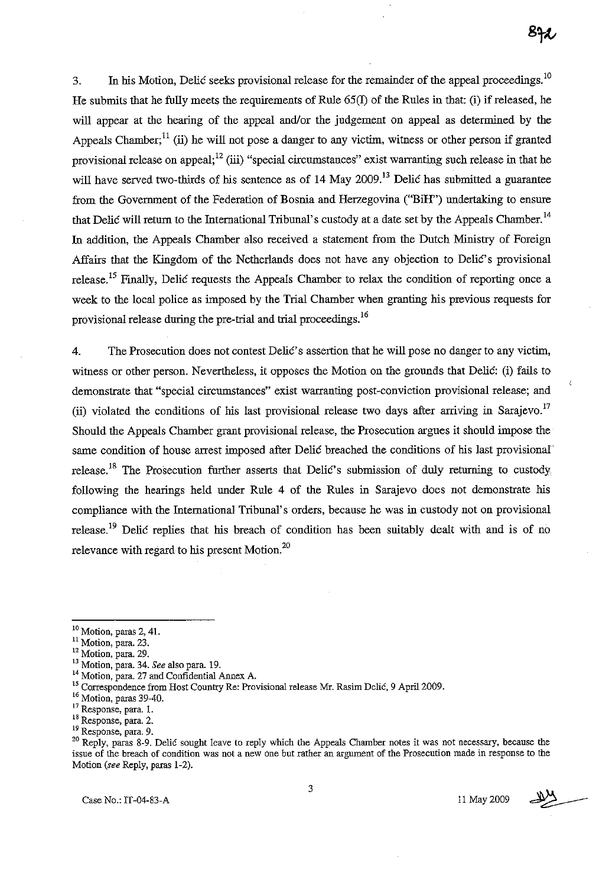3. In his Motion, Delic seeks provisional release for the remainder of the appeal proceedings.<sup>10</sup> He submits that he fully meets the requirements of Rule 65(I) of the Rules in that: (i) if released, he will appear at the hearing of the appeal and/or the judgement on appeal as determined by the Appeals Chamber;<sup>11</sup> (ii) he will not pose a danger to any victim, witness or other person if granted provisional release on appeal;  $^{12}$  (iii) "special circumstances" exist warranting such release in that he will have served two-thirds of his sentence as of  $14$  May  $2009$ .<sup>13</sup> Delic has submitted a guarantee from the Government of the Federation of Bosnia and Herzegovina ("BiH") undertaking to ensure that Delic will return to the International Tribunal's custody at a date set by the Appeals Chamber.<sup>14</sup> In addition, the Appeals Chamber also received a statement from the Dutch Ministry of Foreign Affairs that the Kingdom of the Netherlands does not have any objection to Delic's provisional release.<sup>15</sup> Finally, Delic requests the Appeals Chamber to relax the condition of reporting once a week to the local police as imposed by the Trial Chamber when granting his previous requests for provisional release during the pre-trial and trial proceedings.<sup>16</sup>

4. The Prosecution does not contest DeliC's assertion that he will pose no danger to any victim, witness or other person. Nevertheless, it opposes the Motion on the grounds that Delic: (i) fails to demonstrate that "special circumstances" exist warranting post-conviction provisional release; and (ii) violated the conditions of his last provisional release two days after arriving in Sarajevo.<sup>17</sup> Should the Appeals Chamber grant provisional release, the Prosecution argues it should impose the same condition of house arrest imposed after Delic breached the conditions of his last provisional' release.<sup>18</sup> The Prosecution further asserts that Delic's submission of duly returning to custody following the hearings held under Rule 4 of the Rules in Sarajevo does not demonstrate his compliance with the International Tribunal's orders, because he was in custody not on provisional release.<sup>19</sup> Delic replies that his breach of condition has been suitably dealt with and is of no relevance with regard to his present Motion. $^{20}$ 

- <sup>12</sup> Motion, para. 29.
- 13 Motion, para. 34. *See* also para. 19.
- <sup>14</sup> Motion, para. 27 and Confidential Annex A.

Case No.: IT -04-83-A 11 May 2009

3

 $10$  Motion, paras 2, 41.

<sup>&</sup>lt;sup>11</sup> Motion, para. 23.

<sup>&</sup>lt;sup>15</sup> Correspondence from Host Country Re: Provisional release Mr. Rasim Delić, 9 April 2009.

<sup>&</sup>lt;sup>16</sup> Motion, paras 39-40.

**<sup>17</sup> Response, para. 1.** 

**<sup>18</sup> Response. para. 2.** 

**<sup>19</sup> Response, para. 9.** 

<sup>&</sup>lt;sup>20</sup> Reply, paras 8-9. Delic sought leave to reply which the Appeals Chamber notes it was not necessary, because the **issue of the breach of condition was not a new one but rather an argument of the Prosecution made in response to the**  Motion *(see* Reply, paras 1-2).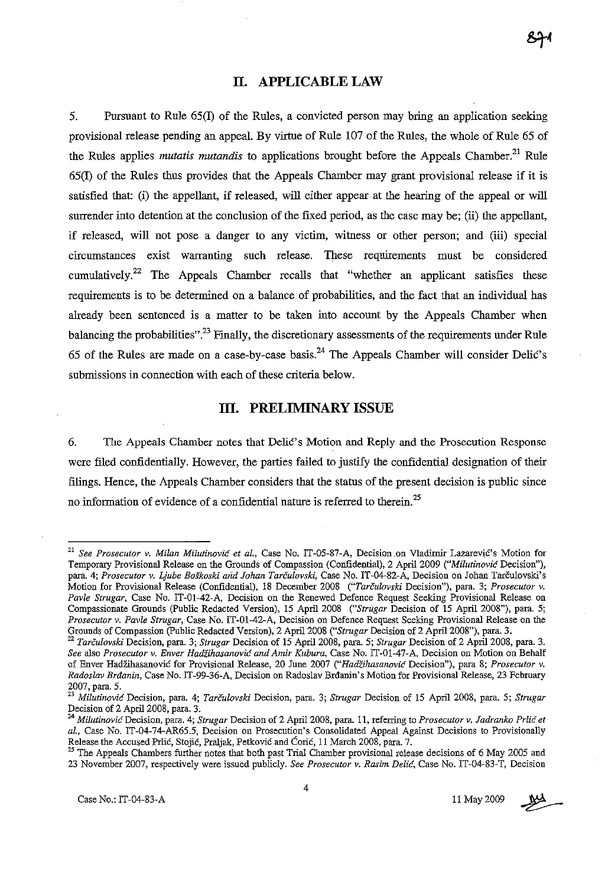## **II. APPLICABLE LAW**

5. Pursuant to Rnle 65(I) of the Rnles, a convicted person may bring an application seeking provisional release pending an appeal. By virtue of Rule 107 of the Rnles, the whole of Rnle 65 of the Rules applies *mutatis mutandis* to applications brought before the Appeals Chamber.<sup>21</sup> Rule 65(I) of the Rules thus provides that the Appeals Chamber may grant provisional release if it is satisfied that: (i) the appellant, if released, will either appear at the hearing of the appeal or will surrender into detention at the conclusion of the fixed period, as the case may be; (ii) the appellant, if released, will not pose a danger to any victim, witness or other person; and (iii) special circumstances exist warranting such release. These requirements must be considered cumulatively.<sup>22</sup> The Appeals Chamber recalls that "whether an applicant satisfies these requirements is to be determined on a balance of probabilities, and the fact that an individual has already been sentenced is a matter to be taken into account by the Appeals Chamber when balancing the probabilities".<sup>23</sup> Finally, the discretionary assessments of the requirements under Rule 65 of the Rules are made on a case-by-case basis.<sup>24</sup> The Appeals Chamber will consider Delic's submissions in connection with each of these criteria below.

### **III. PRELIMINARY ISSUE**

6. The Appeals Chamber notes that Delic's Motion and Reply and the Prosecution Response were filed confidentially. However, the parties failed to justify the confidential designation of their filings. Hence, the Appeals Chamber considers that the status of the present decision is public since no information of evidence of a confidential nature is referred to therein.<sup>25</sup>

<sup>&</sup>lt;sup>21</sup> See Prosecutor v. Milan Milutinović et al., Case No. IT-05-87-A, Decision on Vladimir Lazarević's Motion for Temporary Provisional Release on the Grounds of Compassion (Confidential), 2 April 2009 *("Milutinovic* Decision"), **para. 4;** *Prosecutor v. Ljube BoSkoski alid lohan Tarculovski,* **Case No. IT-04-82-A, Decision on Jahan Tarculovski's**  Motion for Provisional Release (Confidential), 18 December 2008 *("Tarculovski* Decision"), para. 3; *Prosecutor* v. *Pavle Strugar,* Case No. IT-01-42-A, Decision on the Renewed Defence Request Seeking Provisional Release on Compassionate Grounds (Public Redacted Version), IS April 2008 *("Strugar* Decision of IS April 2008"), para. 5; *Prosecutor v. Pavle Strugar,* **Case No. IT-Ol-42-A, Decision on Defence Request Seeking Provisional Release on the**  Grounds of Compassion (public Redacted Version), 2 April 2008 *("Strugar* Decision of 2 April 2008"), para. 3.

<sup>22</sup>*Tarculovski* Decision, para. 3; *Strugar* Decision of IS April 2008, para. 5; *Strugar* Decision of 2 April 2008, para. 3. *See* **also** *Prosecutor* **v.** *Enver HadZihasanovic and Amir Kubura,* **Case No.** *IT-01-47-A,* **Decision on Motion on Behalf of Enver HadZihasanovic for Provisional Release, 20 June 2007** *("Hadiihasanovic* **Decision"), para 8;** *Prosecutor* **v.**  *Radoslav Brdanin,* Case No. IT-99-36-A, Decision on Radoslav Brdanin's Motion for Provisional Release, 23 February 2007, para. 5.

**<sup>23</sup>***Milutinovic* **Decision, para. 4;** *Tarculovski* **Decision, para. 3;** *Strugar* **Decision of 15 April 2008, para. 5;** *Strugar*  Decision of 2 April 2008, para. 3.

**<sup>24</sup>***Milutinovic* **Decision, para. 4;** *Strugar* **Decision of 2 Apri12008, para. 11, referring to** *Prosecutor* **v.** *ladranko Prlic et*  al., Case No. IT-04-74-AR65.5, Decision on Prosecution's Consolidated Appeal Against Decisions to Provisionally Release the Accused Prlic, Stojic, Praljak, Petkovic and COric, 11 March 2008, para. 7.

<sup>&</sup>lt;sup>25</sup> The Appeals Chambers further notes that both past Trial Chamber provisional release decisions of 6 May 2005 and 23 November 2007, respectively were issued publicly. *See Prosecutor* v. *Rasim Delic,* Case No. IT-04-83-T, Decision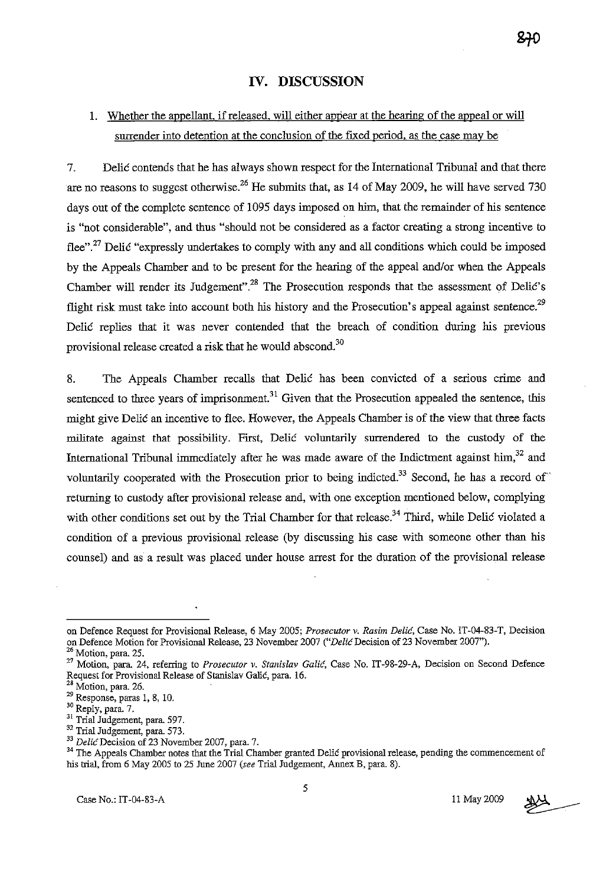## **IV. DISCUSSION**

# 1. Whether the appellant, if released, will either appear at the hearing of the appeal or will surrender into detention at the conclusion of the fixed period, as the case may be

7. Delie contends that he has always shown respect for the International Tribunal and that there are no reasons to suggest otherwise.<sup>26</sup> He submits that, as 14 of May 2009, he will have served 730 days out of the complete sentence of 1095 days imposed on him, that the remainder of his sentence is "not considerable", and thus "should not be considered as a factor creating a strong incentive to flee".<sup>27</sup> Delic "expressly undertakes to comply with any and all conditions which could be imposed by the Appeals Chamber and to be present for the hearing of the appeal and/or when the Appeals Chamber will render its Judgement".<sup>28</sup> The Prosecution responds that the assessment of Delic's flight risk must take into account both his history and the Prosecution's appeal against sentence.<sup>29</sup> Delic replies that it was never contended that the breach of condition during his previous provisional release created a risk that he would abscond.3o

8. The Appeals Chamber recalls that Delić has been convicted of a serious crime and sentenced to three years of imprisonment.<sup>31</sup> Given that the Prosecution appealed the sentence, this might give Delić an incentive to flee. However, the Appeals Chamber is of the view that three facts militate against that possibility. First, Delić voluntarily surrendered to the custody of the International Tribunal immediately after he was made aware of the Indictment against him, $32$  and voluntarily cooperated with the Prosecution prior to being indicted.<sup>33</sup> Second, he has a record of returning to custody after provisional release and, with one exception mentioned below, complying with other conditions set out by the Trial Chamber for that release.<sup>34</sup> Third, while Delić violated a condition of a previous provisional release (by discussing his case with someone other than his counsel) and as a result was placed under house arrest for the duration of the provisional release



**on Defence Request for Provisional Release, 6 May 2005;** *Prosecutor* **v.** *Rasim DeliG,* **Case No. IT-04-83-T, Decision**  on Defence Motion for Provisional Release, 23 November 2007 *("Delic* Decision of 23 November 2007"). **26 Motion, para. 25.** 

**<sup>27</sup> Motion, para 24, referring to** *Prosecutor v. Stanislav* **Galic, Case No. IT -98-29-A, Decision on Second Defence**  Request for Provisional Release of Stanislav Galić, para. 16.

Motion, para. 26.

 $29$  Response, paras 1, 8, 10.

<sup>&</sup>lt;sup>30</sup> Reply, para. 7.

<sup>&</sup>lt;sup>31</sup> Trial Judgement, para. 597.

<sup>32</sup> Trial Judgement, para. 573.

*<sup>33</sup> DelicDecision* of 23 November 2007, para. 7.

<sup>&</sup>lt;sup>34</sup> The Appeals Chamber notes that the Trial Chamber granted Delić provisional release, pending the commencement of his trial, from 6 May 2005 to 25 June 2007 *(see* Trial Judgement, Annex B, para. 8).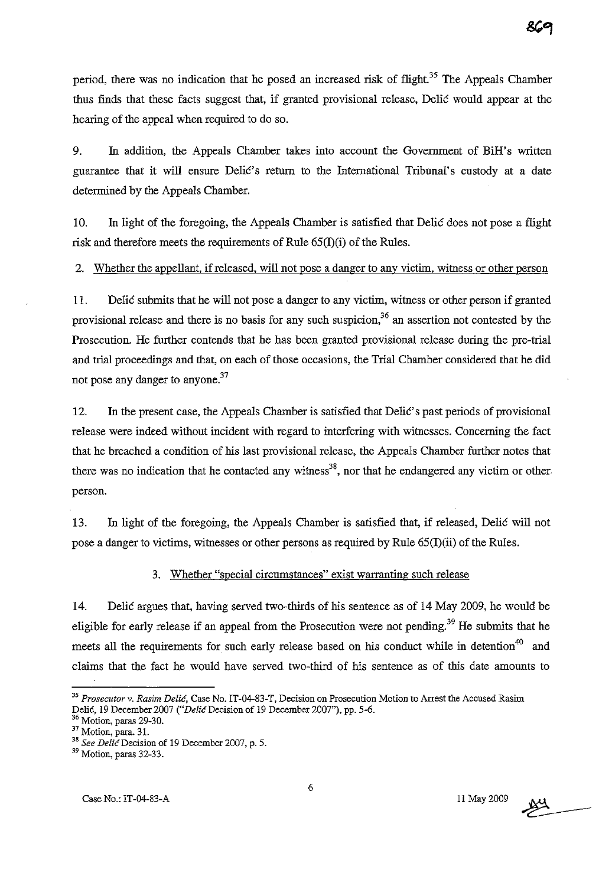period, there was no indication that he posed an increased risk of flight.<sup>35</sup> The Appeals Chamber thus finds that these facts suggest that, if granted provisional release, Delic would appear at the hearing of the appeal when required to do so.

9. In addition, the Appeals Chamber takes into account the Government of BiH's written guarantee that it will ensure DeliC's return to the International Tribunal's custody at a date determined by the Appeals Chamber.

10. In light of the foregoing, the Appeals Chamber is satisfied that Delic does not pose a flight risk and therefore meets the requirements of Rule  $65(I)(i)$  of the Rules.

2. Whether the appellant. if released. will not pose a danger to any victim. witness or other person

11. Delic submits that he will not pose a danger to any victim, witness or other person if granted provisional release and there is no basis for any such suspicion,<sup>36</sup> an assertion not contested by the Prosecution. He further contends that he has been granted provisional release during the pre-trial and trial proceedings and that, on each of those occasions, the Trial Chamber considered that he did not pose any danger to anyone.<sup>37</sup>

12. In the present case, the Appeals Chamber is satisfied that DeliC's past periods of provisional release were indeed without incident with regard to interfering with witnesses. Conceming the fact that he breached a condition of his last provisional release, the Appeals Chamber further notes that there was no indication that he contacted any witness<sup>38</sup>, nor that he endangered any victim or other person.

13. In light of the foregoing, the Appeals Chamber is satisfied that, if released, Delic will not pose a danger to victims, witnesses or other persons as required by Rule  $65(I)(ii)$  of the Rules.

#### 3. Whether "special circumstances" exist warranting such release

14. Delic argues that, having served two-thirds of his sentence as of 14 May 2009, he would be eligible for early release if an appeal from the Prosecution were not pending.<sup>39</sup> He submits that he meets all the requirements for such early release based on his conduct while in detention<sup>40</sup> and claims that the fact he would have served two-third of his sentence as of this date amounts to

*<sup>35</sup> Prosecutor* **v.** *Rasim* **Delic, Case No. IT -04-83-T, Decision on Prosecution Motion to Arrest the Accused Rasim**  Delie, 19 December 2007 *("Delie* Decision of 19 December 2007"). pp. 5-6.

Motion, paras 29-30.

**<sup>37</sup> Motion, para. 31.** 

<sup>&</sup>lt;sup>38</sup> See Delic Decision of 19 December 2007, p. 5.

<sup>&</sup>lt;sup>39</sup> Motion, paras 32-33.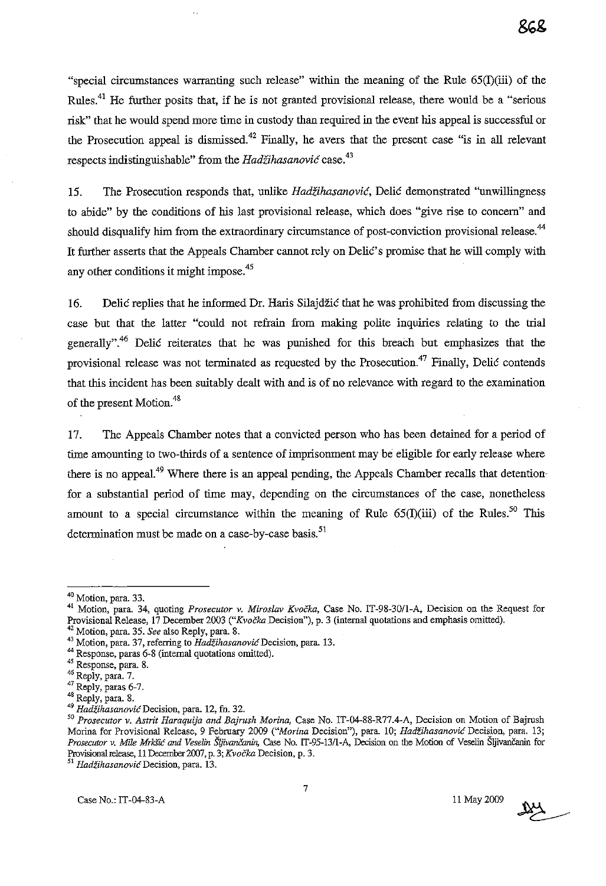"special circumstances warranting such release" within the meaning of the Rule  $65(I)(iii)$  of the Rules.<sup>41</sup> He further posits that, if he is not granted provisional release, there would be a "serious" risk" that he would spend more time in custody than required in the event his appeal is successful or the Prosecution appeal is dismissed.<sup>42</sup> Finally, he avers that the present case "is in all relevant respects indistinguishable" from the *Hadzihasanovic* case. 43

15. The Prosecution responds that, unlike *Hadžihasanović*, Delić demonstrated "unwillingness" to abide" by the conditions of his last provisional release, which does "give rise to concern" and should disqualify him from the extraordinary circumstance of post-conviction provisional release.<sup>44</sup> It further asserts that the Appeals Chamber cannot rely on Delic's promise that he will comply with any other conditions it might impose.<sup>45</sup>

16. Delic replies that he informed Dr. Haris Silajdžić that he was prohibited from discussing the case but that the latter "could not refrain from making polite inquiries relating to the trial generally".<sup>46</sup> Delić reiterates that he was punished for this breach but emphasizes that the provisional release was not terminated as requested by the Prosecution.<sup>47</sup> Finally, Delic contends that this incident has been snitably dealt with and is of no relevance with regard to the examination of the present Motion.<sup>48</sup>

17. The Appeals Chamber notes that a convicted person who has been detained for a period of time amounting to two-thirds of a sentence of imprisonment may be eligible for early release where there is no appeal.<sup>49</sup> Where there is an appeal pending, the Appeals Chamber recalls that detention for a substantial period of time may, depending on the circumstances of the case, nonetheless amount to a special circumstance within the meaning of Rule  $65(I)(iii)$  of the Rules.<sup>50</sup> This determination must be made on a case-by-case basis.<sup>51</sup>

42 Motion, para. 35. *See* also Reply, para. 8.

- 44 Response, paras 6-8 (internal quotations omitted).
- **45 Response, para. 8.**
- <sup>46</sup> Reply, para. 7.

*51 HadzihasanovicDecision,* **para. 13.** 

 $\frac{104}{100}$ 

 $40$  Motion, para. 33.

<sup>41</sup> Motion, para. 34, quoting *Prosecutor* v. *Miroslav Kvocka,* Case No. IT-98-30/l-A, Decision on the Request for Provisional Release, 17 December 2003 *("Kvocka* Decision"), p. 3 (internal quotations and emphasis omitted).

<sup>&</sup>lt;sup>43</sup> Motion, para. 37, referring to *Hadžihasanović* Decision, para. 13.

<sup>&</sup>lt;sup>47</sup> Reply, paras 6-7.

<sup>&</sup>lt;sup>48</sup> Reply, para. 8.

*<sup>49</sup> Hadzihasanovic* **Decision, para. 12, fn. 32.** 

*<sup>50</sup> Prosecutor* **v.** *Astrit Haraquija and Bajrush Morina,* **Case No. IT-04-88-R77.4-A, Decision on Motion of Bajrush**  Marina for Provisional Release, 9 February 2009 *("Marina* Decision"), para. 10; *Hadzihasanovic* Decision, para. 13; *Prosecuror* v. *Mile MrkfiC and Veselin SijivanCanin,* Case No. *IT-95-13/I-A,* Decision on the Motion of Veselin SljivanCanin for Provisional release, 11 December 2007, p. 3; *Kvočka* Decision, p. 3.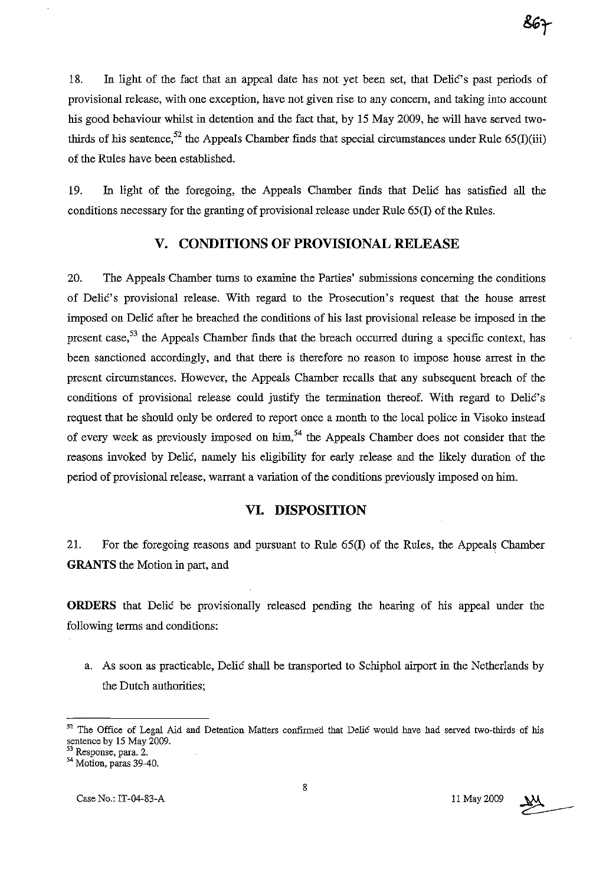18. In light of the fact that an appeal date has not yet been set, that Delic's past periods of provisional release, with one exception, have not given rise to any concern, and taking into account his good behaviour whilst in detention and the fact that, by 15 May 2009, he will have served twothirds of his sentence,<sup>52</sup> the Appeals Chamber finds that special circumstances under Rule 65(I)(iii) of the Rules have been established.

19. In light of the foregoing, the Appeals Chamber finds that Delic has satisfied all the conditions necessary for the granting of provisional release under Rule 65(1) of the Rules.

# **V. CONDITIONS OF PROVISIONAL RELEASE**

20. The Appeals Chamber turns to examine the Parties' submissions concerning the conditions of Delic's provisional release. With regard to the Prosecution's request that the house arrest imposed on Delic after he breached the conditions of his last provisional release be imposed in the present case,<sup>53</sup> the Appeals Chamber finds that the breach occurred during a specific context, has been sanctioned accordingly, and that there is therefore no reason to impose house arrest in the present circumstances. However, the Appeals Chamber recalls that any subsequent breach of the conditions of provisional release could justify the termination thereof. With regard to Delic's request that he should only be ordered to report once a month to the local police in Visoko instead of every week as previously imposed on him,  $54$  the Appeals Chamber does not consider that the reasons invoked by Delic, namely his eligibility for early release and the likely duration of the period of provisional release, warrant a variation of the conditions previously imposed on him.

## **VI. DISPOSITION**

21. For the foregoing reasons and pursuant to Rule 65(1) of the Rules, the Appeals Chamber **GRANTS** the Motion in part, and

**ORDERS** that Delic be provisionally released pending the hearing of his appeal under the following terms and conditions:

a. As soon as practicable, Delic shall be transported to Schiphol airport in the Netherlands by the Dutch authorities;



<sup>52</sup> The Office of Legal Aid and Detention Matters confirmed that Delić would have had served two-thirds of his sentence by 15 May 2009.

**<sup>53</sup> Response, para. 2.** 

 $54$  Motion, paras 39-40.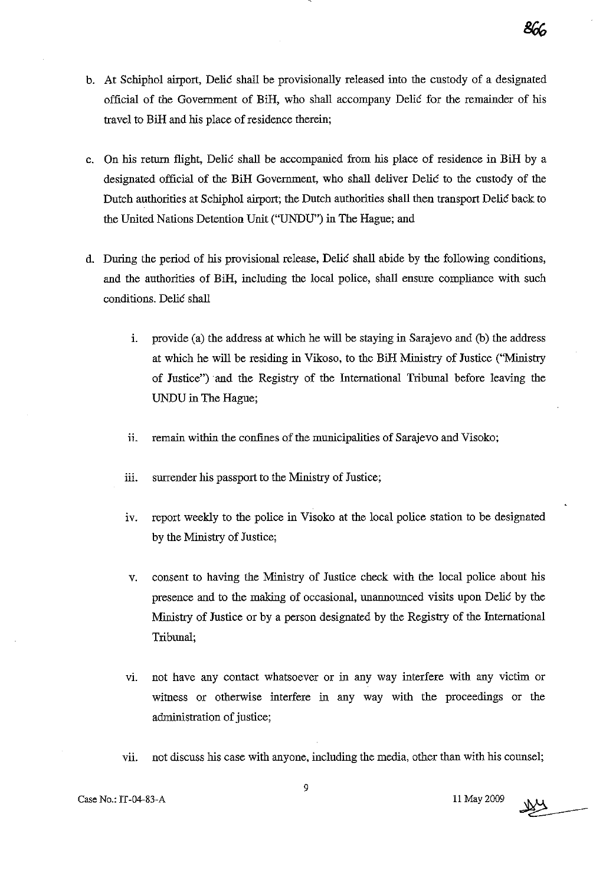- b. At Schiphol airport, Delic shall be provisionally released into the custody of a designated official of the Government of BiH, who shall accompauy Delic for the remaiuder of his travel to BiH and his place of residence therein;
- c. On his return flight, Delic shall be accompanied from his place of residence in BiH by a designated official of the BiH Government, who shall deliver Delic to the custody of the Dutch authorities at Schiphol airport; the Dutch authorities shall then transport Delic back to the United Nations Detention Unit ("UNDU") in The Hague; and
- d. During the period of his provisional release, Delic shall abide by the following conditions, and the authorities of BiH, including the local police, shall ensure compliance with such conditions. Delic shall
	- i. provide (a) the address at which he will be staying in Sarajevo and (b) the address at which he will be residing in Vikoso, to the BiH Ministry of Justice ("Ministry of Justice") aud the Registry of the International Tribunal before leaving the UNDU in The Hague;
	- ii. remain within the confines of the municipalities of Sarajevo and Visoko;
	- iii. surrender his passport to the Ministry of Justice;
	- iv. report weekly to the police in Visoko at the local police station to be designated by the Ministry of Justice;
	- v. consent to having the Ministry of Justice check with the local police about his presence aud to the making of occasional, unannounced visits upon Delic by the Ministry of Justice or by a person designated by the Registry of the International Tribunal;
	- vi. not have auy contact whatsoever or in auy way interfere with auy victim or witness or otherwise interfere in any way with the proceedings or the administration of justice;
	- vii. not discuss his case with auyone, including the media, other thau with his counsel;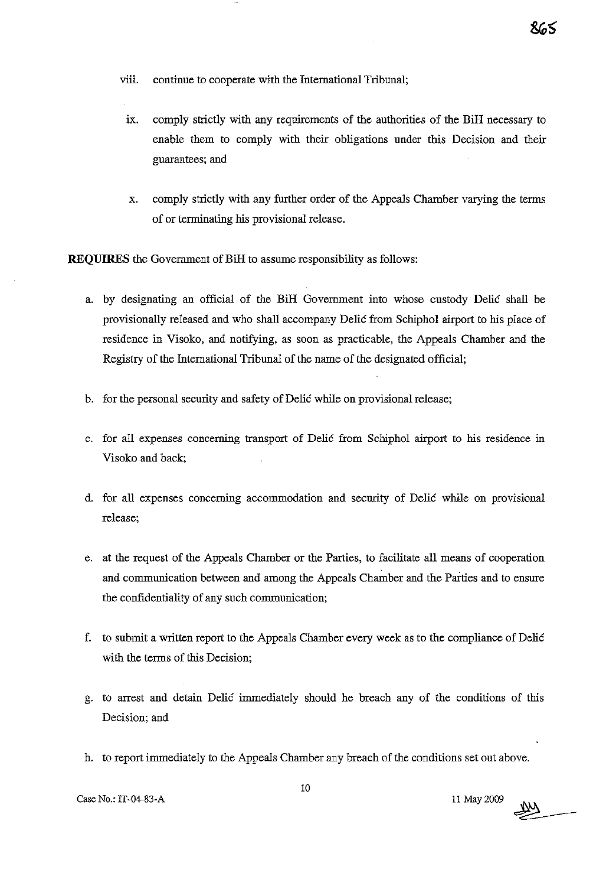- viii. continue to cooperate with the International Tribunal;
	- ix. comply strictly with any requirements of the authorities of the BiH necessary to enable them to comply with their obligations under this Decision and their guarantees; and
	- x. comply strictly with any further order of the Appeals Chamber varying the terms of or terminating his provisional release.

**REQUIRES** the Government of BiH to assume responsibility as follows:

- a. by designating an official of the BiH Government into whose custody Delie shall be provisionally released and who shall accompany Delie from Schiphol airport to his place of residence in Visoko, and notifying, as soon as practicable, the Appeals Chamber and the Registry of the International Tribunal of the name of the designated official;
- b. for the personal security and safety of Delić while on provisional release;
- c. for all expenses concerning transport of Delie from Schiphol airport to his residence in Visoko and back;
- d. for all expenses concerning accommodation and security of Delic while on provisional release;
- e. at the request of the Appeals Chamber or the Parties, to facilitate all means of cooperation and communication between and among the Appeals Chamber and the Parties and to ensure the confidentiality of any such communication;
- f. to submit a written report to the Appeals Chamber every week as to the compliance of Delie with the terms of this Decision;
- g. to arrest and detain Delić immediately should he breach any of the conditions of this Decision; and
- h. to report immediately to the Appeals Chamber any breach of the conditions set out above.<br>  $10$ <br>
Case No.: IT-04-83-A  $11$  May 2009

ጻራ<